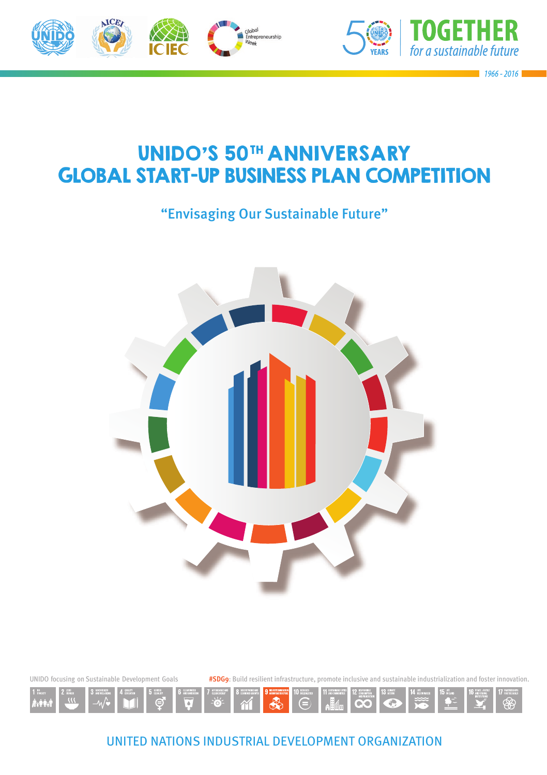



1966 - 2016

# UNIDO'S 50TH ANNIVERSARY GLOBAL START-UP BUSINESS PLAN COMPETITION

"Envisaging Our Sustainable Future"



UNIDO focusing on Sustainable Development Goals **#SDG9**: Build resilient infrastructure, promote inclusive and sustainable industrialization and foster innovation.



UNITED NATIONS INDUSTRIAL DEVELOPMENT ORGANIZATION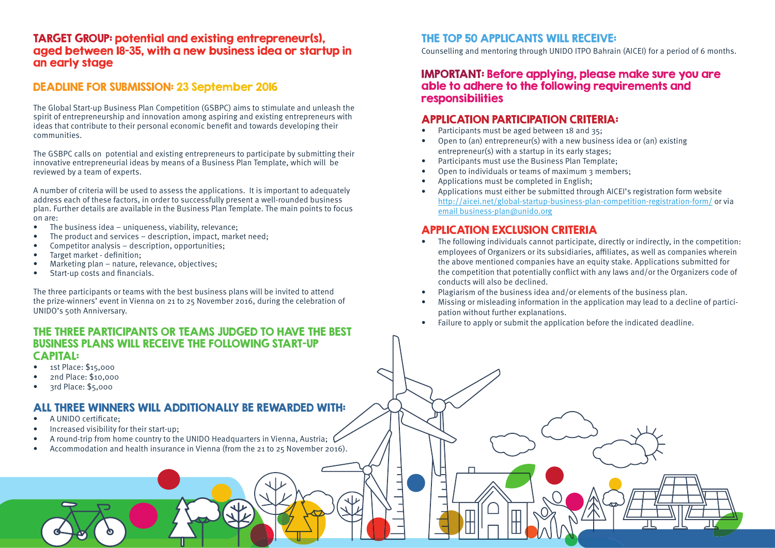#### TARGET GROUP: potential and existing entrepreneur(s), aged between 18-35, with a new business idea or startup in an early stage

## DEADLINE FOR SUBMISSION: 23 September 2016

The Global Start-up Business Plan Competition (GSBPC) aims to stimulate and unleash the spirit of entrepreneurship and innovation among aspiring and existing entrepreneurs with ideas that contribute to their personal economic benefit and towards developing their communities.

The GSBPC calls on potential and existing entrepreneurs to participate by submitting their innovative entrepreneurial ideas by means of a Business Plan Template, which will be reviewed by a team of experts.

A number of criteria will be used to assess the applications. It is important to adequately address each of these factors, in order to successfully present a well-rounded business plan. Further details are available in the Business Plan Template. The main points to focus on are:

- The business idea uniqueness, viability, relevance;
- The product and services description, impact, market need;
- Competitor analysis description, opportunities;
- Target market definition:
- Marketing plan nature, relevance, objectives;
- $\bullet$  Start-up costs and financials.

The three participants or teams with the best business plans will be invited to attend the prize-winners' event in Vienna on 21 to 25 November 2016, during the celebration of UNIDO's 50th Anniversary.

#### THE THREE PARTICIPANTS OR TEAMS JUDGED TO HAVE THE BEST BUSINESS PLANS WILL RECEIVE THE FOLLOWING START-UP CAPITAL:

- 1st Place: \$15,000
- 2nd Place: \$10,000
- 3rd Place: \$5,000

## ALL THREE WINNERS WILL ADDITIONALLY BE REWARDED WITH:

- A UNIDO certificate:
- Increased visibility for their start-up;
- A round-trip from home country to the UNIDO Headquarters in Vienna, Austria;
- Accommodation and health insurance in Vienna (from the 21 to 25 November 2016).

# THE TOP 50 APPLICANTS WILL RECEIVE:

Counselling and mentoring through UNIDO ITPO Bahrain (AICEI) for a period of 6 months.

#### IMPORTANT: Before applying, please make sure you are able to adhere to the following requirements and responsibilities

## APPLICATION PARTICIPATION CRITERIA:

- Participants must be aged between 18 and 35;
- Open to (an) entrepreneur(s) with a new business idea or (an) existing entrepreneur(s) with a startup in its early stages;
- Participants must use the Business Plan Template;
- Open to individuals or teams of maximum 3 members;
- Applications must be completed in English;
- Applications must either be submitted through AICEI's registration form website http://aicei.net/global-startup-business-plan-competition-registration-form/ or via email business-plan@unido.org

#### APPLICATION EXCLUSION CRITERIA

- The following individuals cannot participate, directly or indirectly, in the competition: employees of Organizers or its subsidiaries, affiliates, as well as companies wherein the above mentioned companies have an equity stake. Applications submitted for the competition that potentially conflict with any laws and/or the Organizers code of conducts will also be declined.
- Plagiarism of the business idea and/or elements of the business plan.
- Missing or misleading information in the application may lead to a decline of participation without further explanations.
- Failure to apply or submit the application before the indicated deadline.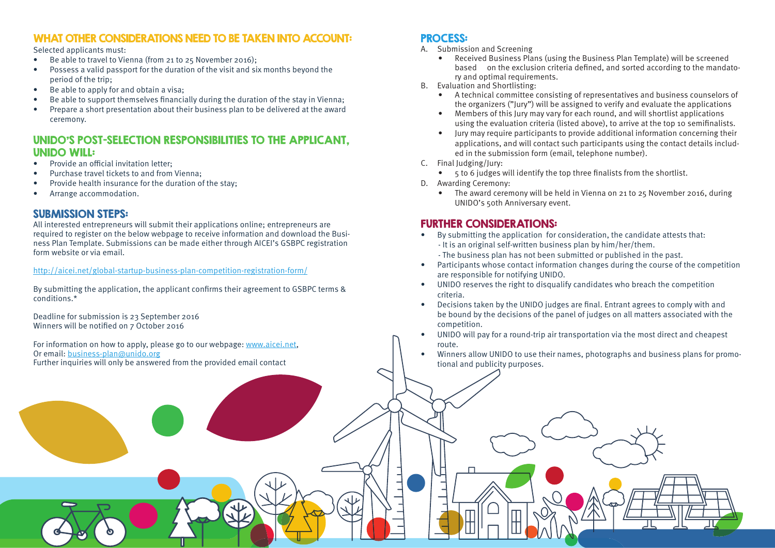## WHAT OTHER CONSIDERATIONS NEED TO BE TAKEN INTO ACCOUNT:

Selected applicants must:

- Be able to travel to Vienna (from 21 to 25 November 2016);
- Possess a valid passport for the duration of the visit and six months beyond the period of the trip;
- Be able to apply for and obtain a visa;
- Be able to support themselves financially during the duration of the stay in Vienna;
- Prepare a short presentation about their business plan to be delivered at the award ceremony.

## UNIDO'S POST-SELECTION RESPONSIBILITIES TO THE APPLICANT, UNIDO WILL:

- $\bullet$  Provide an official invitation letter:
- Purchase travel tickets to and from Vienna;
- Provide health insurance for the duration of the stay;
- Arrange accommodation.

## SUBMISSION STEPS:

All interested entrepreneurs will submit their applications online; entrepreneurs are required to register on the below webpage to receive information and download the Business Plan Template. Submissions can be made either through AICEI's GSBPC registration form website or via email.

#### http://aicei.net/global-startup-business-plan-competition-registration-form/

By submitting the application, the applicant confirms their agreement to GSBPC terms & conditions.\*

Deadline for submission is 23 September 2016 Winners will be notified on 7 October 2016

For information on how to apply, please go to our webpage: www.aicei.net, Or email: business-plan@unido.org Further inquiries will only be answered from the provided email contact

## PROCESS:

- Submission and Screening
	- Received Business Plans (using the Business Plan Template) will be screened based on the exclusion criteria defined, and sorted according to the mandatory and optimal requirements.
- B. Evaluation and Shortlisting:
	- A technical committee consisting of representatives and business counselors of the organizers ("Jury") will be assigned to verify and evaluate the applications
	- Members of this Jury may vary for each round, and will shortlist applications using the evaluation criteria (listed above), to arrive at the top 10 semifinalists.
	- Jury may require participants to provide additional information concerning their applications, and will contact such participants using the contact details included in the submission form (email, telephone number).
- C. Final Judging/Jury:
	- 5 to 6 judges will identify the top three finalists from the shortlist.
- D. Awarding Ceremony:
	- The award ceremony will be held in Vienna on 21 to 25 November 2016, during UNIDO's 50th Anniversary event.

## FURTHER CONSIDERATIONS:

- By submitting the application for consideration, the candidate attests that: - It is an original self-written business plan by him/her/them.
	- The business plan has not been submitted or published in the past.
- Participants whose contact information changes during the course of the competition are responsible for notifying UNIDO.
- UNIDO reserves the right to disqualify candidates who breach the competition criteria.
- Decisions taken by the UNIDO judges are final. Entrant agrees to comply with and be bound by the decisions of the panel of judges on all matters associated with the competition.
- UNIDO will pay for a round-trip air transportation via the most direct and cheapest route.
- Winners allow UNIDO to use their names, photographs and business plans for promotional and publicity purposes.